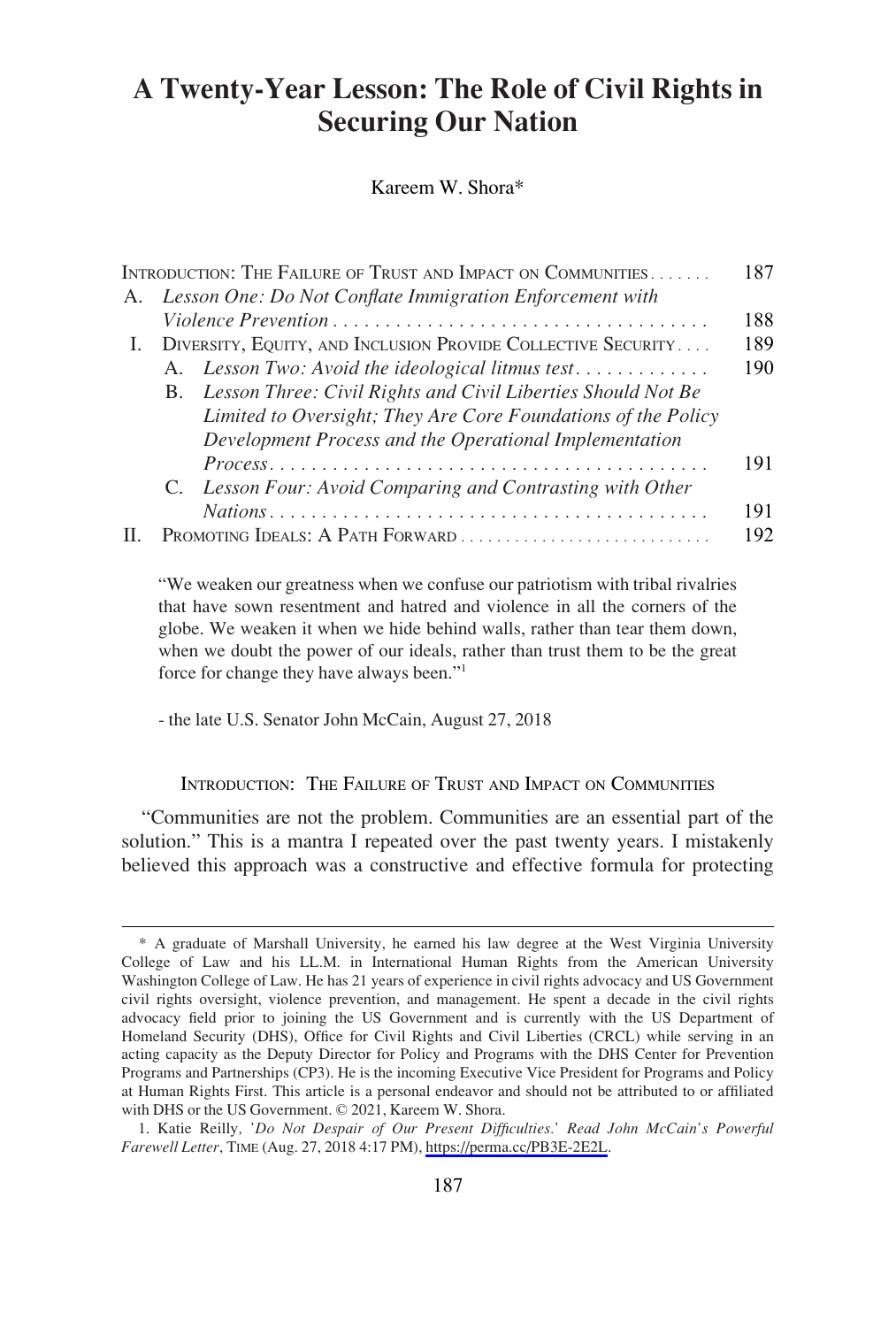# **A Twenty-Year Lesson: The Role of Civil Rights in Securing Our Nation**

Kareem W. Shora\*

|                                                              |                                                               | 187                                                                                                                                                                                                                                                                                                           |
|--------------------------------------------------------------|---------------------------------------------------------------|---------------------------------------------------------------------------------------------------------------------------------------------------------------------------------------------------------------------------------------------------------------------------------------------------------------|
|                                                              |                                                               |                                                                                                                                                                                                                                                                                                               |
|                                                              |                                                               | 188                                                                                                                                                                                                                                                                                                           |
| DIVERSITY, EQUITY, AND INCLUSION PROVIDE COLLECTIVE SECURITY |                                                               | 189                                                                                                                                                                                                                                                                                                           |
|                                                              |                                                               | 190                                                                                                                                                                                                                                                                                                           |
|                                                              |                                                               |                                                                                                                                                                                                                                                                                                               |
|                                                              | Limited to Oversight; They Are Core Foundations of the Policy |                                                                                                                                                                                                                                                                                                               |
|                                                              | Development Process and the Operational Implementation        |                                                                                                                                                                                                                                                                                                               |
|                                                              |                                                               | 191                                                                                                                                                                                                                                                                                                           |
|                                                              |                                                               |                                                                                                                                                                                                                                                                                                               |
|                                                              |                                                               | 191                                                                                                                                                                                                                                                                                                           |
|                                                              |                                                               | 192                                                                                                                                                                                                                                                                                                           |
|                                                              | L.                                                            | INTRODUCTION: THE FAILURE OF TRUST AND IMPACT ON COMMUNITIES<br>Lesson One: Do Not Conflate Immigration Enforcement with<br>A. Lesson Two: Avoid the ideological litmus test<br>B. Lesson Three: Civil Rights and Civil Liberties Should Not Be<br>C. Lesson Four: Avoid Comparing and Contrasting with Other |

"We weaken our greatness when we confuse our patriotism with tribal rivalries that have sown resentment and hatred and violence in all the corners of the globe. We weaken it when we hide behind walls, rather than tear them down, when we doubt the power of our ideals, rather than trust them to be the great force for change they have always been."<sup>1</sup>

- the late U.S. Senator John McCain, August 27, 2018

#### INTRODUCTION: THE FAILURE OF TRUST AND IMPACT ON COMMUNITIES

"Communities are not the problem. Communities are an essential part of the solution." This is a mantra I repeated over the past twenty years. I mistakenly believed this approach was a constructive and effective formula for protecting

<sup>\*</sup> A graduate of Marshall University, he earned his law degree at the West Virginia University College of Law and his LL.M. in International Human Rights from the American University Washington College of Law. He has 21 years of experience in civil rights advocacy and US Government civil rights oversight, violence prevention, and management. He spent a decade in the civil rights advocacy field prior to joining the US Government and is currently with the US Department of Homeland Security (DHS), Office for Civil Rights and Civil Liberties (CRCL) while serving in an acting capacity as the Deputy Director for Policy and Programs with the DHS Center for Prevention Programs and Partnerships (CP3). He is the incoming Executive Vice President for Programs and Policy at Human Rights First. This article is a personal endeavor and should not be attributed to or affiliated with DHS or the US Government. © 2021, Kareem W. Shora.

<sup>1.</sup> Katie Reilly, 'Do Not Despair of Our Present Difficulties.' Read John McCain's Powerful *Farewell Letter*, TIME (Aug. 27, 2018 4:17 PM), [https://perma.cc/PB3E-2E2L.](https://perma.cc/PB3E-2E2L)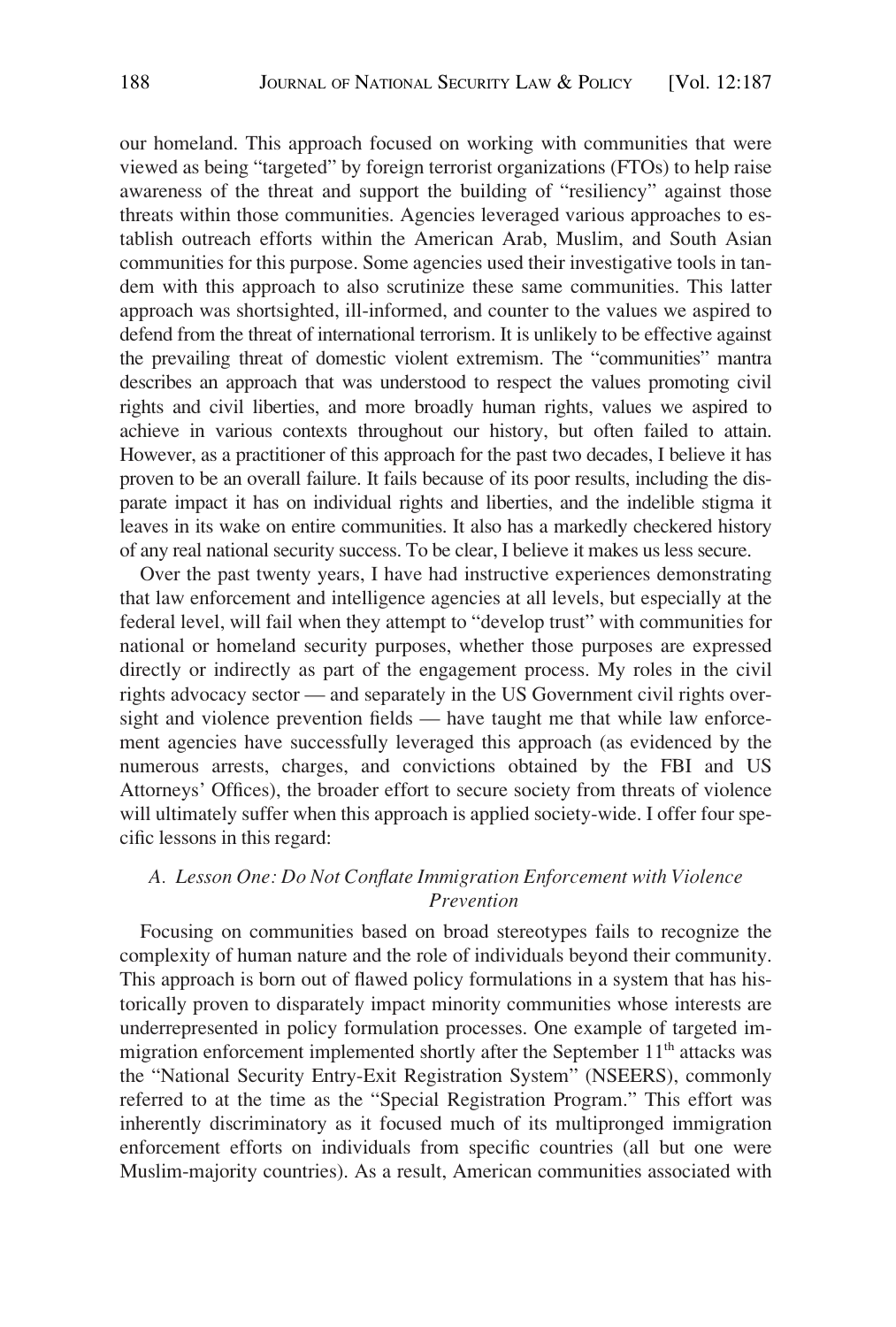<span id="page-1-0"></span>our homeland. This approach focused on working with communities that were viewed as being "targeted" by foreign terrorist organizations (FTOs) to help raise awareness of the threat and support the building of "resiliency" against those threats within those communities. Agencies leveraged various approaches to establish outreach efforts within the American Arab, Muslim, and South Asian communities for this purpose. Some agencies used their investigative tools in tandem with this approach to also scrutinize these same communities. This latter approach was shortsighted, ill-informed, and counter to the values we aspired to defend from the threat of international terrorism. It is unlikely to be effective against the prevailing threat of domestic violent extremism. The "communities" mantra describes an approach that was understood to respect the values promoting civil rights and civil liberties, and more broadly human rights, values we aspired to achieve in various contexts throughout our history, but often failed to attain. However, as a practitioner of this approach for the past two decades, I believe it has proven to be an overall failure. It fails because of its poor results, including the disparate impact it has on individual rights and liberties, and the indelible stigma it leaves in its wake on entire communities. It also has a markedly checkered history of any real national security success. To be clear, I believe it makes us less secure.

Over the past twenty years, I have had instructive experiences demonstrating that law enforcement and intelligence agencies at all levels, but especially at the federal level, will fail when they attempt to "develop trust" with communities for national or homeland security purposes, whether those purposes are expressed directly or indirectly as part of the engagement process. My roles in the civil rights advocacy sector — and separately in the US Government civil rights oversight and violence prevention fields — have taught me that while law enforcement agencies have successfully leveraged this approach (as evidenced by the numerous arrests, charges, and convictions obtained by the FBI and US Attorneys' Offices), the broader effort to secure society from threats of violence will ultimately suffer when this approach is applied society-wide. I offer four specific lessons in this regard:

## *A. Lesson One: Do Not Conflate Immigration Enforcement with Violence Prevention*

Focusing on communities based on broad stereotypes fails to recognize the complexity of human nature and the role of individuals beyond their community. This approach is born out of flawed policy formulations in a system that has historically proven to disparately impact minority communities whose interests are underrepresented in policy formulation processes. One example of targeted immigration enforcement implemented shortly after the September 11<sup>th</sup> attacks was the "National Security Entry-Exit Registration System" (NSEERS), commonly referred to at the time as the "Special Registration Program." This effort was inherently discriminatory as it focused much of its multipronged immigration enforcement efforts on individuals from specific countries (all but one were Muslim-majority countries). As a result, American communities associated with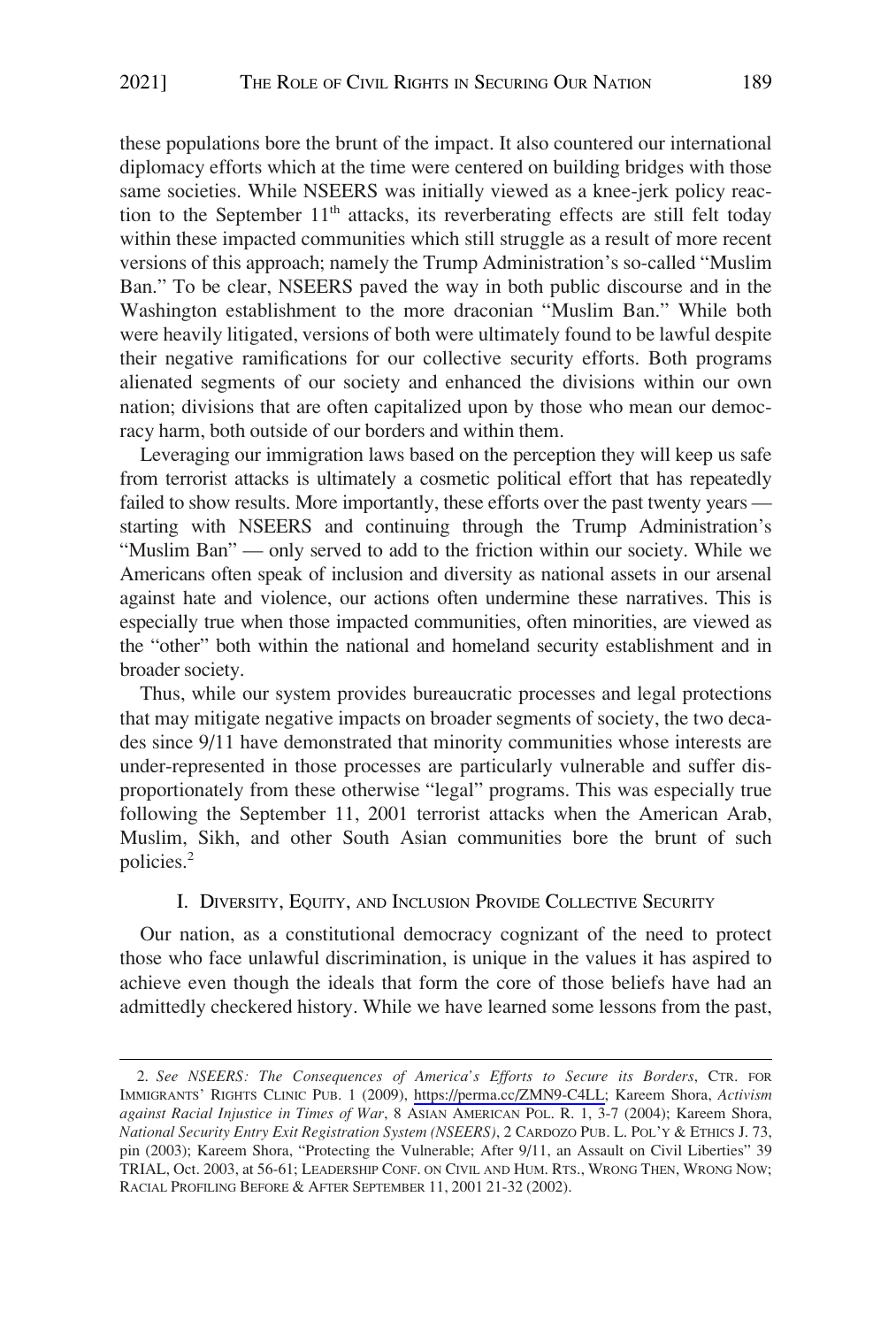<span id="page-2-0"></span>these populations bore the brunt of the impact. It also countered our international diplomacy efforts which at the time were centered on building bridges with those same societies. While NSEERS was initially viewed as a knee-jerk policy reaction to the September  $11<sup>th</sup>$  attacks, its reverberating effects are still felt today within these impacted communities which still struggle as a result of more recent versions of this approach; namely the Trump Administration's so-called "Muslim Ban." To be clear, NSEERS paved the way in both public discourse and in the Washington establishment to the more draconian "Muslim Ban." While both were heavily litigated, versions of both were ultimately found to be lawful despite their negative ramifications for our collective security efforts. Both programs alienated segments of our society and enhanced the divisions within our own nation; divisions that are often capitalized upon by those who mean our democracy harm, both outside of our borders and within them.

Leveraging our immigration laws based on the perception they will keep us safe from terrorist attacks is ultimately a cosmetic political effort that has repeatedly failed to show results. More importantly, these efforts over the past twenty years starting with NSEERS and continuing through the Trump Administration's "Muslim Ban" — only served to add to the friction within our society. While we Americans often speak of inclusion and diversity as national assets in our arsenal against hate and violence, our actions often undermine these narratives. This is especially true when those impacted communities, often minorities, are viewed as the "other" both within the national and homeland security establishment and in broader society.

Thus, while our system provides bureaucratic processes and legal protections that may mitigate negative impacts on broader segments of society, the two decades since 9/11 have demonstrated that minority communities whose interests are under-represented in those processes are particularly vulnerable and suffer disproportionately from these otherwise "legal" programs. This was especially true following the September 11, 2001 terrorist attacks when the American Arab, Muslim, Sikh, and other South Asian communities bore the brunt of such policies.2

### I. DIVERSITY, EQUITY, AND INCLUSION PROVIDE COLLECTIVE SECURITY

Our nation, as a constitutional democracy cognizant of the need to protect those who face unlawful discrimination, is unique in the values it has aspired to achieve even though the ideals that form the core of those beliefs have had an admittedly checkered history. While we have learned some lessons from the past,

*See NSEERS: The Consequences of America's Efforts to Secure its Borders*, CTR. FOR 2. IMMIGRANTS' RIGHTS CLINIC PUB. 1 (2009), <https://perma.cc/ZMN9-C4LL>; Kareem Shora, *Activism against Racial Injustice in Times of War*, 8 ASIAN AMERICAN POL. R. 1, 3-7 (2004); Kareem Shora, *National Security Entry Exit Registration System (NSEERS)*, 2 CARDOZO PUB. L. POL'Y & ETHICS J. 73, pin (2003); Kareem Shora, "Protecting the Vulnerable; After 9/11, an Assault on Civil Liberties" 39 TRIAL, Oct. 2003, at 56-61; LEADERSHIP CONF. ON CIVIL AND HUM. RTS., WRONG THEN, WRONG NOW; RACIAL PROFILING BEFORE & AFTER SEPTEMBER 11, 2001 21-32 (2002).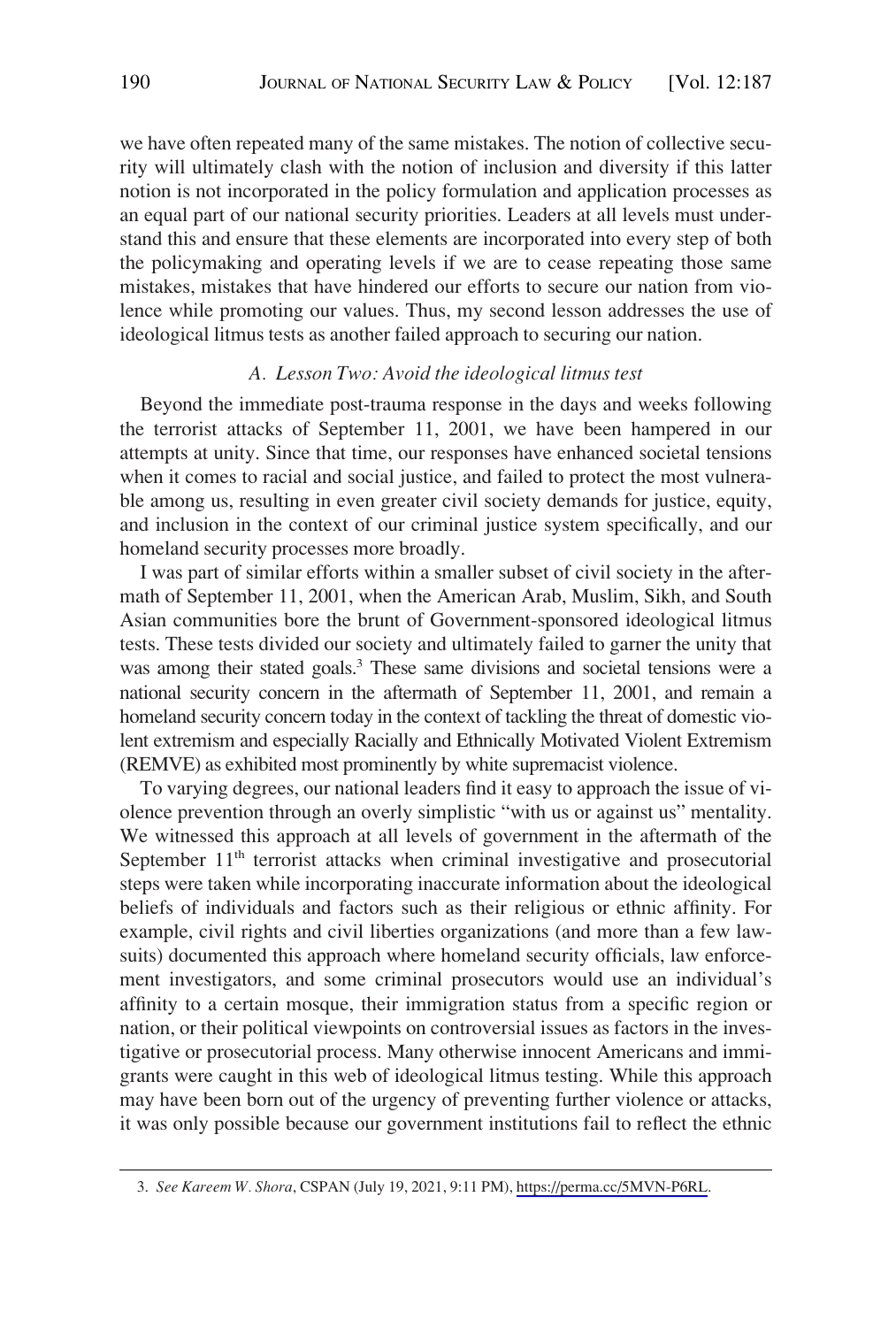<span id="page-3-0"></span>we have often repeated many of the same mistakes. The notion of collective security will ultimately clash with the notion of inclusion and diversity if this latter notion is not incorporated in the policy formulation and application processes as an equal part of our national security priorities. Leaders at all levels must understand this and ensure that these elements are incorporated into every step of both the policymaking and operating levels if we are to cease repeating those same mistakes, mistakes that have hindered our efforts to secure our nation from violence while promoting our values. Thus, my second lesson addresses the use of ideological litmus tests as another failed approach to securing our nation.

#### *A. Lesson Two: Avoid the ideological litmus test*

Beyond the immediate post-trauma response in the days and weeks following the terrorist attacks of September 11, 2001, we have been hampered in our attempts at unity. Since that time, our responses have enhanced societal tensions when it comes to racial and social justice, and failed to protect the most vulnerable among us, resulting in even greater civil society demands for justice, equity, and inclusion in the context of our criminal justice system specifically, and our homeland security processes more broadly.

I was part of similar efforts within a smaller subset of civil society in the aftermath of September 11, 2001, when the American Arab, Muslim, Sikh, and South Asian communities bore the brunt of Government-sponsored ideological litmus tests. These tests divided our society and ultimately failed to garner the unity that was among their stated goals.<sup>3</sup> These same divisions and societal tensions were a national security concern in the aftermath of September 11, 2001, and remain a homeland security concern today in the context of tackling the threat of domestic violent extremism and especially Racially and Ethnically Motivated Violent Extremism (REMVE) as exhibited most prominently by white supremacist violence.

To varying degrees, our national leaders find it easy to approach the issue of violence prevention through an overly simplistic "with us or against us" mentality. We witnessed this approach at all levels of government in the aftermath of the September  $11<sup>th</sup>$  terrorist attacks when criminal investigative and prosecutorial steps were taken while incorporating inaccurate information about the ideological beliefs of individuals and factors such as their religious or ethnic affinity. For example, civil rights and civil liberties organizations (and more than a few lawsuits) documented this approach where homeland security officials, law enforcement investigators, and some criminal prosecutors would use an individual's affinity to a certain mosque, their immigration status from a specific region or nation, or their political viewpoints on controversial issues as factors in the investigative or prosecutorial process. Many otherwise innocent Americans and immigrants were caught in this web of ideological litmus testing. While this approach may have been born out of the urgency of preventing further violence or attacks, it was only possible because our government institutions fail to reflect the ethnic

<sup>3.</sup> *See Kareem W. Shora*, CSPAN (July 19, 2021, 9:11 PM),<https://perma.cc/5MVN-P6RL>.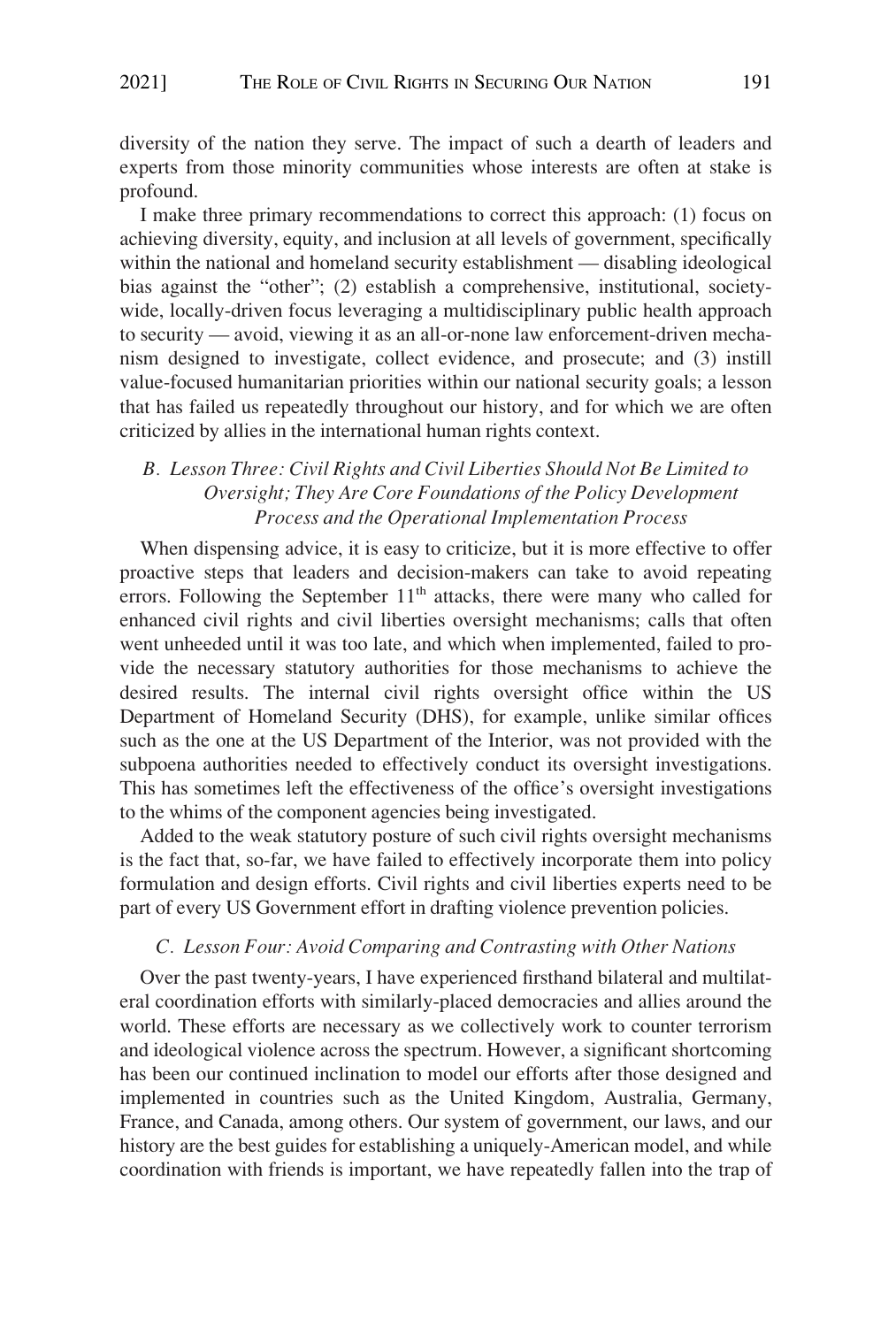<span id="page-4-0"></span>diversity of the nation they serve. The impact of such a dearth of leaders and experts from those minority communities whose interests are often at stake is profound.

I make three primary recommendations to correct this approach: (1) focus on achieving diversity, equity, and inclusion at all levels of government, specifically within the national and homeland security establishment — disabling ideological bias against the "other"; (2) establish a comprehensive, institutional, societywide, locally-driven focus leveraging a multidisciplinary public health approach to security — avoid, viewing it as an all-or-none law enforcement-driven mechanism designed to investigate, collect evidence, and prosecute; and (3) instill value-focused humanitarian priorities within our national security goals; a lesson that has failed us repeatedly throughout our history, and for which we are often criticized by allies in the international human rights context.

## *B. Lesson Three: Civil Rights and Civil Liberties Should Not Be Limited to Oversight; They Are Core Foundations of the Policy Development Process and the Operational Implementation Process*

When dispensing advice, it is easy to criticize, but it is more effective to offer proactive steps that leaders and decision-makers can take to avoid repeating errors. Following the September  $11<sup>th</sup>$  attacks, there were many who called for enhanced civil rights and civil liberties oversight mechanisms; calls that often went unheeded until it was too late, and which when implemented, failed to provide the necessary statutory authorities for those mechanisms to achieve the desired results. The internal civil rights oversight office within the US Department of Homeland Security (DHS), for example, unlike similar offices such as the one at the US Department of the Interior, was not provided with the subpoena authorities needed to effectively conduct its oversight investigations. This has sometimes left the effectiveness of the office's oversight investigations to the whims of the component agencies being investigated.

Added to the weak statutory posture of such civil rights oversight mechanisms is the fact that, so-far, we have failed to effectively incorporate them into policy formulation and design efforts. Civil rights and civil liberties experts need to be part of every US Government effort in drafting violence prevention policies.

#### *C. Lesson Four: Avoid Comparing and Contrasting with Other Nations*

Over the past twenty-years, I have experienced firsthand bilateral and multilateral coordination efforts with similarly-placed democracies and allies around the world. These efforts are necessary as we collectively work to counter terrorism and ideological violence across the spectrum. However, a significant shortcoming has been our continued inclination to model our efforts after those designed and implemented in countries such as the United Kingdom, Australia, Germany, France, and Canada, among others. Our system of government, our laws, and our history are the best guides for establishing a uniquely-American model, and while coordination with friends is important, we have repeatedly fallen into the trap of